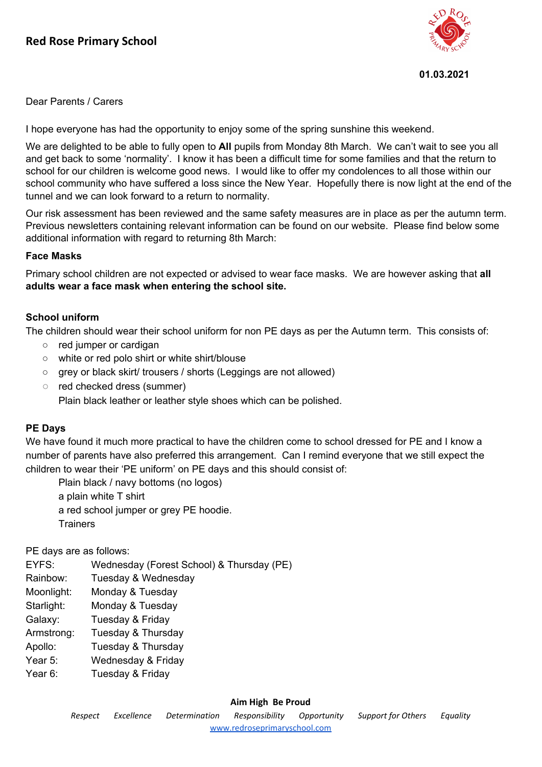

#### **01.03.2021**

Dear Parents / Carers

I hope everyone has had the opportunity to enjoy some of the spring sunshine this weekend.

We are delighted to be able to fully open to **All** pupils from Monday 8th March. We can't wait to see you all and get back to some 'normality'. I know it has been a difficult time for some families and that the return to school for our children is welcome good news. I would like to offer my condolences to all those within our school community who have suffered a loss since the New Year. Hopefully there is now light at the end of the tunnel and we can look forward to a return to normality.

Our risk assessment has been reviewed and the same safety measures are in place as per the autumn term. Previous newsletters containing relevant information can be found on our website. Please find below some additional information with regard to returning 8th March:

### **Face Masks**

Primary school children are not expected or advised to wear face masks. We are however asking that **all adults wear a face mask when entering the school site.**

### **School uniform**

The children should wear their school uniform for non PE days as per the Autumn term. This consists of:

- red jumper or cardigan
- white or red polo shirt or white shirt/blouse
- grey or black skirt/ trousers / shorts (Leggings are not allowed)
- red checked dress (summer)

Plain black leather or leather style shoes which can be polished.

#### **PE Days**

We have found it much more practical to have the children come to school dressed for PE and I know a number of parents have also preferred this arrangement. Can I remind everyone that we still expect the children to wear their 'PE uniform' on PE days and this should consist of:

Plain black / navy bottoms (no logos) a plain white T shirt a red school jumper or grey PE hoodie. **Trainers** 

PE days are as follows:

EYFS: Wednesday (Forest School) & Thursday (PE) Rainbow: Tuesday & Wednesday Moonlight: Monday & Tuesday Starlight: Monday & Tuesday Galaxy: Tuesday & Friday Armstrong: Tuesday & Thursday Apollo: Tuesday & Thursday Year 5: Wednesday & Friday Year 6: Tuesday & Friday

#### **Aim High Be Proud**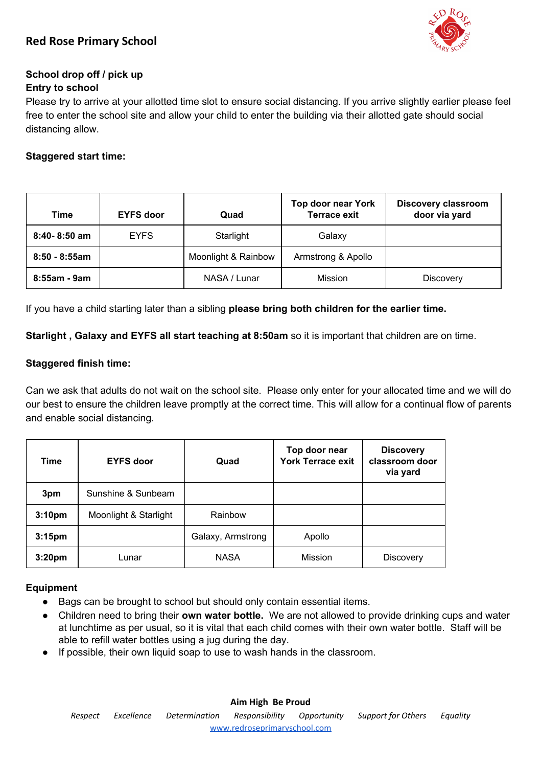

# **School drop off / pick up**

# **Entry to school**

Please try to arrive at your allotted time slot to ensure social distancing. If you arrive slightly earlier please feel free to enter the school site and allow your child to enter the building via their allotted gate should social distancing allow.

# **Staggered start time:**

| Time             | <b>EYFS door</b> | Quad                | <b>Top door near York</b><br><b>Terrace exit</b> | <b>Discovery classroom</b><br>door via yard |
|------------------|------------------|---------------------|--------------------------------------------------|---------------------------------------------|
| $8:40 - 8:50$ am | <b>EYFS</b>      | Starlight           | Galaxy                                           |                                             |
| $8:50 - 8:55am$  |                  | Moonlight & Rainbow | Armstrong & Apollo                               |                                             |
| 8:55am - 9am     |                  | NASA / Lunar        | Mission                                          | <b>Discovery</b>                            |

If you have a child starting later than a sibling **please bring both children for the earlier time.**

**Starlight , Galaxy and EYFS all start teaching at 8:50am** so it is important that children are on time.

## **Staggered finish time:**

Can we ask that adults do not wait on the school site. Please only enter for your allocated time and we will do our best to ensure the children leave promptly at the correct time. This will allow for a continual flow of parents and enable social distancing.

| Time               | <b>EYFS door</b>      | Quad              | Top door near<br><b>York Terrace exit</b> | <b>Discovery</b><br>classroom door<br>via yard |
|--------------------|-----------------------|-------------------|-------------------------------------------|------------------------------------------------|
| 3pm                | Sunshine & Sunbeam    |                   |                                           |                                                |
| 3:10 <sub>pm</sub> | Moonlight & Starlight | Rainbow           |                                           |                                                |
| 3:15 <sub>pm</sub> |                       | Galaxy, Armstrong | Apollo                                    |                                                |
| 3:20 <sub>pm</sub> | Lunar                 | <b>NASA</b>       | Mission                                   | Discovery                                      |

## **Equipment**

- Bags can be brought to school but should only contain essential items.
- Children need to bring their **own water bottle.** We are not allowed to provide drinking cups and water at lunchtime as per usual, so it is vital that each child comes with their own water bottle. Staff will be able to refill water bottles using a jug during the day.
- If possible, their own liquid soap to use to wash hands in the classroom.

# **Aim High Be Proud**